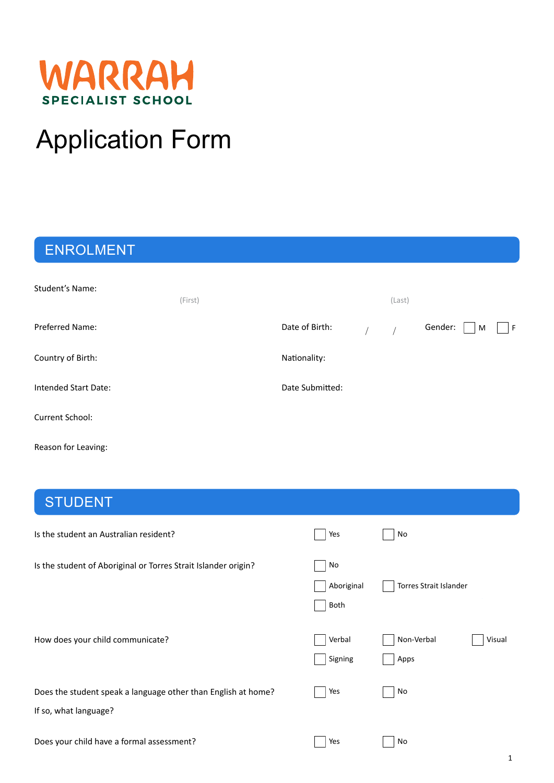

# Application Form

# ENROLMENT

| <b>Student's Name:</b>      | (First) |                 | (Last) |         |   |    |
|-----------------------------|---------|-----------------|--------|---------|---|----|
| Preferred Name:             |         | Date of Birth:  |        | Gender: | M | F. |
| Country of Birth:           |         | Nationality:    |        |         |   |    |
| <b>Intended Start Date:</b> |         | Date Submitted: |        |         |   |    |
| Current School:             |         |                 |        |         |   |    |

Reason for Leaving:

# STUDENT

| Is the student an Australian resident?                                                 | Yes                      | No                           |
|----------------------------------------------------------------------------------------|--------------------------|------------------------------|
| Is the student of Aboriginal or Torres Strait Islander origin?                         | No<br>Aboriginal<br>Both | Torres Strait Islander       |
| How does your child communicate?                                                       | Verbal<br>Signing        | Non-Verbal<br>Visual<br>Apps |
| Does the student speak a language other than English at home?<br>If so, what language? | Yes                      | No                           |
| Does your child have a formal assessment?                                              | Yes                      | No                           |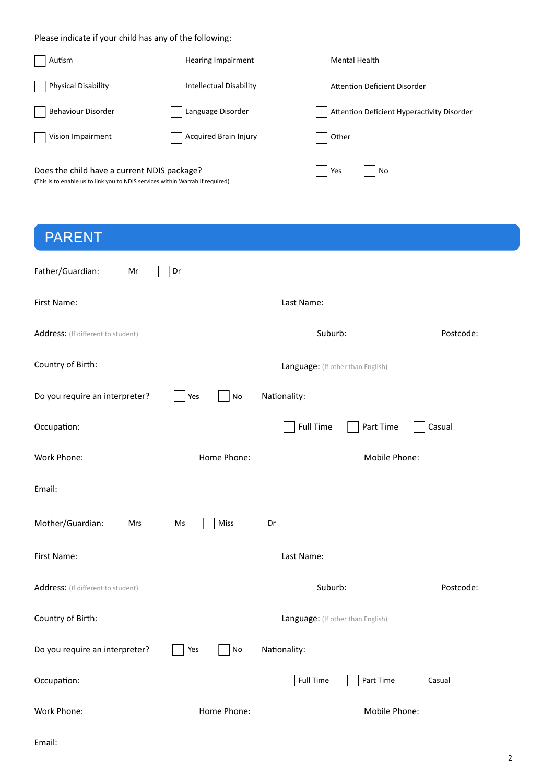Please indicate if your child has any of the following:

| Autism                                      | <b>Hearing Impairment</b>      | Mental Health                              |
|---------------------------------------------|--------------------------------|--------------------------------------------|
| <b>Physical Disability</b>                  | <b>Intellectual Disability</b> | Attention Deficient Disorder               |
| <b>Behaviour Disorder</b>                   | Language Disorder              | Attention Deficient Hyperactivity Disorder |
| Vision Impairment                           | Acquired Brain Injury          | Other                                      |
| Does the child have a current NDIS package? |                                | Yes<br>No                                  |

(This is to enable us to link you to NDIS services within Warrah if required)

| <b>PARENT</b>                      |                             |                                   |           |
|------------------------------------|-----------------------------|-----------------------------------|-----------|
| Father/Guardian:<br>Mr             | Dr                          |                                   |           |
| First Name:                        |                             | Last Name:                        |           |
| Address: (If different to student) |                             | Suburb:                           | Postcode: |
| Country of Birth:                  |                             | Language: (If other than English) |           |
| Do you require an interpreter?     | Yes<br>$\mathsf{No}$        | Nationality:                      |           |
| Occupation:                        |                             | <b>Full Time</b><br>Part Time     | Casual    |
| Work Phone:                        | Home Phone:                 | Mobile Phone:                     |           |
| Email:                             |                             |                                   |           |
| Mother/Guardian:<br>Mrs            | $\mathsf{Ms}$<br>Miss<br>Dr |                                   |           |
| First Name:                        |                             | Last Name:                        |           |
| Address: (If different to student) |                             | Suburb:                           | Postcode: |
| Country of Birth:                  |                             | Language: (If other than English) |           |
| Do you require an interpreter?     | $\mathsf{No}$<br>Yes        | Nationality:                      |           |
| Occupation:                        |                             | <b>Full Time</b><br>Part Time     | Casual    |
| Work Phone:                        | Home Phone:                 | Mobile Phone:                     |           |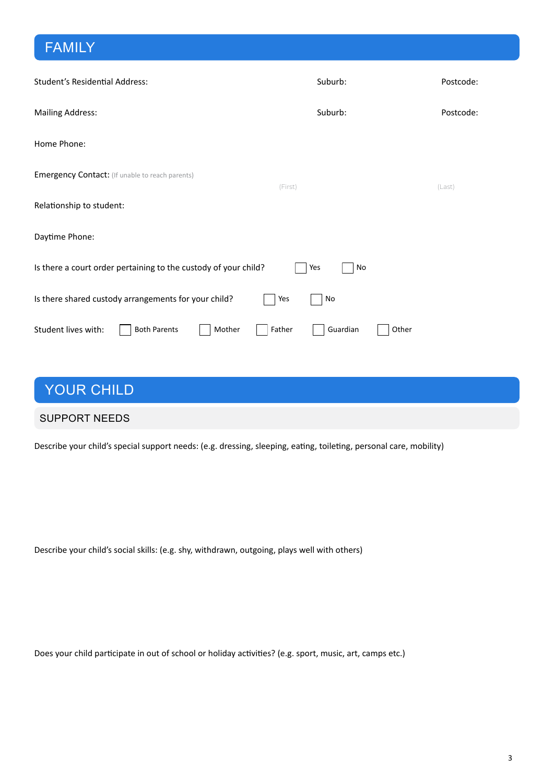# FAMILY

| Student's Residential Address:                                  | Suburb:            | Postcode: |
|-----------------------------------------------------------------|--------------------|-----------|
| <b>Mailing Address:</b>                                         | Suburb:            | Postcode: |
| Home Phone:                                                     |                    |           |
| <b>Emergency Contact:</b> (If unable to reach parents)          | (First)            | (Last)    |
| Relationship to student:                                        |                    |           |
| Daytime Phone:                                                  |                    |           |
| Is there a court order pertaining to the custody of your child? | Yes<br>No          |           |
| Is there shared custody arrangements for your child?            | Yes<br>No          |           |
| Student lives with:<br><b>Both Parents</b><br>Mother            | Father<br>Guardian | Other     |

### YOUR CHILD

#### SUPPORT NEEDS

Describe your child's special support needs: (e.g. dressing, sleeping, eating, toileting, personal care, mobility)

Describe your child's social skills: (e.g. shy, withdrawn, outgoing, plays well with others)

Does your child participate in out of school or holiday activities? (e.g. sport, music, art, camps etc.)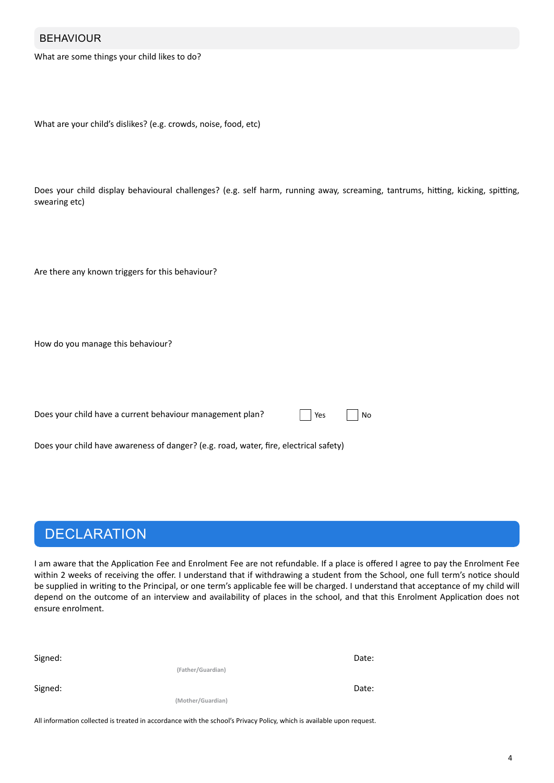#### BEHAVIOUR

What are some things your child likes to do?

```
What are your child's dislikes? (e.g. crowds, noise, food, etc)
```
Does your child display behavioural challenges? (e.g. self harm, running away, screaming, tantrums, hitting, kicking, spitting, swearing etc)

Are there any known triggers for this behaviour?

How do you manage this behaviour?

Does your child have a current behaviour management plan?

|  | Yes. |  | N٥ |
|--|------|--|----|
|--|------|--|----|

Does your child have awareness of danger? (e.g. road, water, fire, electrical safety)

### **DECLARATION**

I am aware that the Application Fee and Enrolment Fee are not refundable. If a place is offered I agree to pay the Enrolment Fee within 2 weeks of receiving the offer. I understand that if withdrawing a student from the School, one full term's notice should be supplied in writing to the Principal, or one term's applicable fee will be charged. I understand that acceptance of my child will depend on the outcome of an interview and availability of places in the school, and that this Enrolment Application does not ensure enrolment.

| Signed: |                   | Date: |
|---------|-------------------|-------|
|         | (Father/Guardian) |       |
| Signed: |                   | Date: |
|         | (Mother/Guardian) |       |

All information collected is treated in accordance with the school's Privacy Policy, which is available upon request.